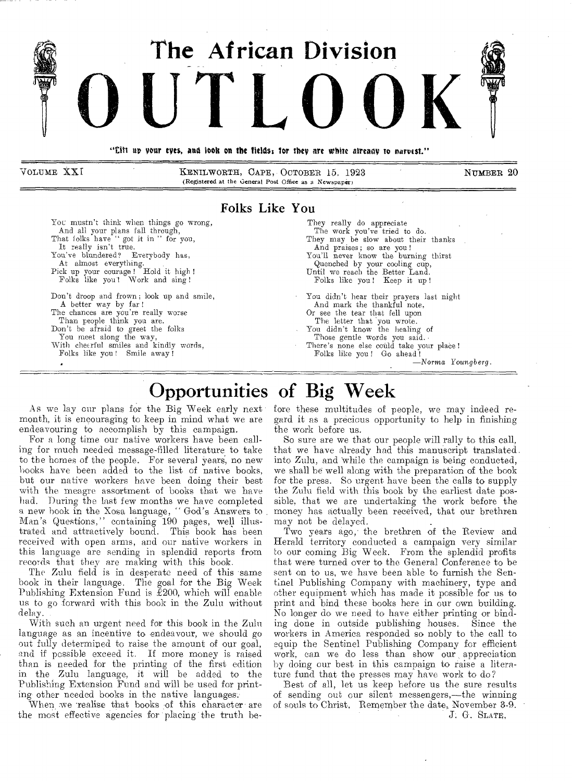

Folks Like You

You mustn't think when things go wrong, And all your plans fall through,<br>That folks have "got it in " for you, nat rolks have got<br>It really isn't true.

You've blundered? Everybody has, At almost everything.

Pick up your courage ! Hold it high ! Folks like you! Work and sing !

Don't droop and frown ; look up and smile, A better way by far

The chances are you're really worse Than people think you are.

Don't be afraid to greet the folks You meet along the way,

With cheerful smiles and kindly words, Folks like you! Smile away !

They really do appreciate The work you've tried to do. They may be slow about their thanks And praises; so are you! You'll never know the burning thirst Quenched by your cooling cup, Until we reach the Better Land. Folks like you! Keep it up ! You didn't hear their prayers last night And mark the thankful note, Or see the tear that fell upon The letter that you wrote. You didn't know the healing of Those gentle words you said. There's none else could take your place! Folks like you! Go ahead !

—Norma Youngberg.

# Opportunities of Big Week

As we lay our plans for the Big Week early next month, it is encouraging to keep in mind what we are endeavouring to accomplish by this campaign.

For a long time our native workers have been calling for much needed message-filled literature to take to the homes of the people. For several years, no new hooks have been added to the list of native books, but our native workers have been doing their best with the meagre assortment of books that we have had. During the last few months we have completed a new book in the Xosa language, " God's Answers to Man's Questions," containing 190 pages, well illustrated. and attractively bound. This book has been received with open arms, and our native workers in this language are sending in splendid reports from records that they are making with this book.

The Zulu field is in desperate need of this same book in their language. The goal for the Big Week Publishing Extension Fund is  $\check{E}200$ , which will enable us to go forward with this book in the Zulu without delay.

With such an urgent need for this book in the Zulu language as an incentive to endeavour, we should go out fully determined to raise the amount of our goal, and if possible exceed it. If more money is raised than is needed for the printing of the first edition in the Zulu language, it will be added to the Publishing Extension Fund and will be used for printing other needed books in the native languages.

When we realise that books of this character are the most effective agencies for placing the truth before these multitudes of people, we may indeed regard it as a precious opportunity to help in finishing the work before us.

So sure are we that our people will rally to this call, that we have already had this manuscript translated. into Zulu, and 'while the campaign is being conducted, we shall be well along with the preparation of the book for the press. So urgent have been the calls to supply the Zulu field with this book by the earliest date possible, that we are undertaking the work before the money has actually been received, that our brethren may not be delayed.

Two years ago, the brethren of the Review and Herald territory conducted a campaign very similar to our coming Big Week. From the splendid profits that were turned over to the General Conference to be sent on to us, we have been able to furnish the Sentinel Publishing Company with machinery, type and other equipment which has made it possible for us to print and bind these books here in our own building. No longer do we need to have either printing or binding done in outside publishing houses. Since the workers in America responded so nobly to the call to equip the Sentinel Publishing Company for efficient work, can we do less than show our appreciation by doing our best in this campaign to raise a literature fund that the presses may have work to do?

Best of all, let us keep before us the sure results of sending out our silent messengers,—the winning of souls to Christ, Remember the date, November 3-9. J. G. SLATE,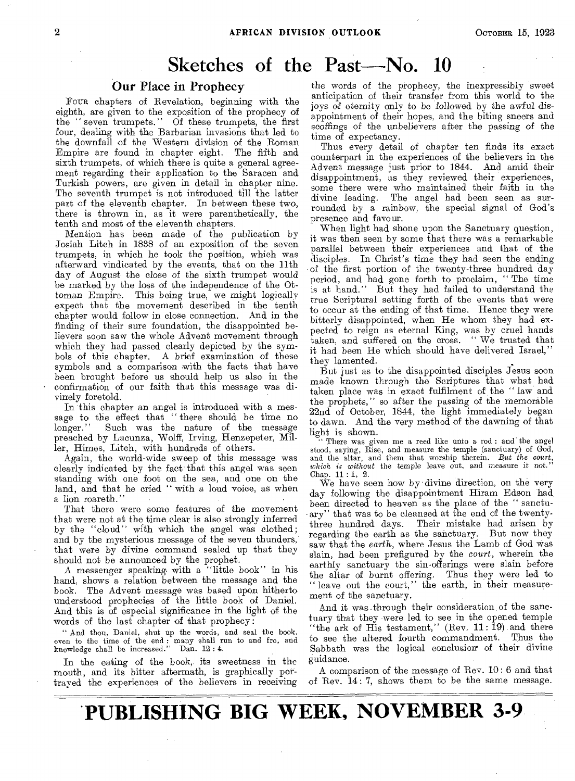# Sketches of the Past— $No.$  10

#### Our Place in Prophecy

FOUR chapters of Revelation, beginning with the eighth, are given to the exposition of the prophecy of the " seven trumpets." Of these trumpets, the first four, dealing with the Barbarian invasions that led to the downfall of the Western division of the Roman Empire are found in chapter eight. The fifth and sixth trumpets, of which there is quite a general agreement regarding their application to the Saracen and Turkish powers, are given in detail in chapter nine. The seventh trumpet is not introduced till the latter part of the eleventh chapter. In between these two, there is thrown in, as it were parenthetically, the tenth and most of the eleventh chapters.

Mention has been made of the publication by Josiah Litch in 1838 of an exposition of the seven trumpets, in which he took the position, which was afterward vindicated by the events, that on the 11th day of August the close of the sixth trumpet would be marked by the loss of the independence of the Ottoman Empire. This being true, we might logically expect that the movement described in the tenth chapter would follow in close connection. And in the finding of their sure foundation, the disappointed believers soon saw the whole Advent movement through which they had passed clearly depicted by the symbols of this chapter. A brief examination of these symbols and a comparison with the facts that have been brought before us should help us also in the confirmation of our faith that this message was divinely foretold.

In this chapter an angel is introduced with a message to the effect that " there should be time no longer." Such was the nature of the message preached by Lacunza, Wolff, Irving, Henzepeter, Miller, Himes, Litch, with hundreds of others.

Again, the world-wide sweep of this message was clearly indicated by the fact that this angel was seen standing with one foot on the sea, and one on the land, and that he cried " with a loud voice, as when a lion roareth."

That there were some features of the movement that were not at the time clear is also strongly inferred by the "cloud" with which the angel was clothed; and by the mysterious message of the seven thunders, that were by divine command sealed up that they should not be announced by the prophet.

A messenger speaking with a "little book" in his hand, shows a relation between the message and the book. The Advent message was based upon hitherto understood prophecies of the little book of Daniel. And this is of especial significance in the light of the words of the last chapter of that prophecy :

" And thou, Daniel, shut up the words, and seal the book, even to the time of the end : many shall run to and fro, and knowledge shall be increased." Dan. 12 : 4.

In the eating of the book, its sweetness in the mouth, and its bitter aftermath, is graphically portrayed the experiences of the believers in receiving

the words of the prophecy, the inexpressibly sweet anticipation of their transfer from this world to the joys of eternity only to be followed by the awful disappointment of their hopes, and the biting sneers and scoffings of the unbelievers after the passing of the time of expectancy.

Thus every detail of chapter ten finds its exact counterpart in the experiences of the believers in the. Advent message just prior to 1844. And amid their disappointment, as they reviewed their experiences, some there were who maintained their faith in the divine leading. The angel had been seen as sur-The angel had been seen as surrounded by a rainbow, the special signal of God's presence and favour.

When light had shone upon the Sanctuary question, it was then seen by some that there was a remarkable parallel between their experiences and that of the disciples. In Christ's time they had seen the ending of the first portion of the twenty-three hundred day period, and had gone forth to proclaim, " The time is at hand." But they had failed to understand the true Scriptural setting forth of the events that were to occur at the ending of that time. Hence they were bitterly disappointed, when He whom they had expected to reign as eternal King, was by cruel hands taken, and suffered on the cross. "We trusted that it had been He which should have delivered Israel," they lamented.

But just as to the disappointed disciples Jesus soon made known through the Scriptures that what had taken place was in exact fulfilment of the " law and the prophets," so after the passing of the memorable 22nd of October, 1844, the light immediately began to dawn. And the very method of the dawning of that light is shown.

" There was given me a reed like unto a rod : and the angel stood, saying, Rise, and measure the temple (sanctuary) of God, and the altar, and them that worship therein. *But the court, which is without* the temple leave out, and measure it not." Chap. 11 : 1, 2.

We have seen how by divine direction, on the very day following the disappointment Hiram Edson had, been directed to heaven as the place of the " sanctuary" that was to be cleansed at the end of the twenty-Their mistake had arisen by regarding the earth as the sanctuary. But now they saw that the *earth*, where Jesus the Lamb of God was slain, had been prefigured by the *court,* wherein the earthly sanctuary the sin-offerings were slain before the altar of burnt offering. Thus they were led to " leave out the court," the earth, in their measurement of the sanctuary.

And it was .through their consideration of the sanctuary that they were led to see in the opened temple "the ark of His testament," (Rev. 11: 19) and there to see the altered fourth commandment. Thus the Sabbath was the logical conclusion of their divine guidance.

A comparison of the message of Rev. 10 : 6 and that of Rev. 14: 7, shows them to be the same message.

**\*PUBLISHING BIG WEEK, NOVEMBER 3-9**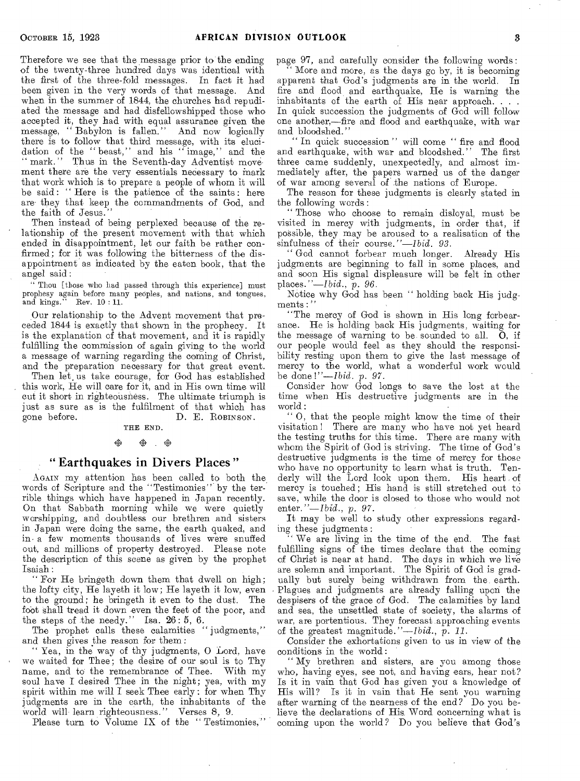Therefore we see that the message prior to the ending of the twenty-three hundred days was identical with the first of the three-fold messages. In fact it had been given in the very words of that message. And when in the summer of 1844, the churches had repudiated the message and had disfellowshipped those who accepted it, they had with equal assurance given the message, " Babylon is fallen." And now logically there is to follow that third message, with its elucidation of the " beast," and his " image," and the " mark." Thus in the Seventh-day Adventist movement there are the very essentials necessary to mark that work which is to prepare a people of whom it will be said: " Here is the patience of the saints : here are- they that keep the commandments of God, and the faith of Jesus."

Then instead of being perplexed because of the relationship of the present movement with that which ended in disappointment, let our faith be rather confirmed; for it was following the bitterness of the disappointment as indicated by the eaten book, that the angel said:

" Thou [those who had passed through this experience] must prophesy again before many peoples, and nations, and tongues, and kings." Rev.  $10:11$ . Rev.  $10:11.$ 

Our relationship to the Advent movement that preceded 1844 is exactly that shown in the prophecy. It is the explanation of that movement, and it is rapidly fulfilling the commission of again giving to the world a message of warning regarding the coming of Christ, and the preparation necessary for that great event.

Then let, us take courage, for God has established this work, He will care for it, and in His own time will cut it short in righteousness. The ultimate triumph is just as sure as is the fulfilment of that which has gone before. D. E. ROBINSON. D. E. ROBINSON.

THE END.

#### ぬ ※ ※

#### " Earthquakes in Divers Places "

AGAIN my attention has been called to both the words of Scripture and the "Testimonies" by the terrible things which have happened in Japan recently. On that Sabbath morning while we were quietly worshipping, and doubtless our brethren and sisters in Japan were doing the same, the earth quaked, and a few moments thousands of lives were snuffed out, and millions of property destroyed. Please note the description of this scene as given by the prophet Isaiah:

" For He bringeth down them that dwell on high; the lofty city, He layeth it low; He layeth it low, even to the ground; he bringeth it even to the dust. The foot shall tread it down even the feet of the poor, and the steps of the needy." Isa. 26: 5, 6.

The prophet calls these calamities "judgments," and then gives the reason for them:

Yea, in the way of thy judgments, O Lord, have we waited for Thee; the desire of our soul is to Thy name, and to the remembrance of Thee. With my soul have I desired Thee in the night; yea, with my spirit within me will I seek Thee early : for when Thy judgments are in the earth, the inhabitants of the world will learn righteousness." Verses 8, 9.

Please turn to Volume IX of the "Testimonies,"

page 97, and carefully consider the following words: More and more, as the days go by, it is becoming apparent that God's judgments are in the world. In fire and flood and earthquake, He is warning the inhabitants of the earth of His near approach. . . . In quick succession the judgments of God will follow one another,—fire and flood and earthquake, with war and bloodshed."

In quick succession " will come " fire and flood and earthquake, with war and bloodshed." The first three came suddenly, unexpectedly, and almost immediately after, the papers warned us of the danger of war among several of the nations of Europe.

The reason for these judgments is clearly stated in the following words :

" Those who choose to remain disloyal, must be visited in mercy with judgments, in order that, if possible, they may be aroused to a realisation of the sinfulness of their course."—Ibid. *93.* 

" God cannot forbear much longer. Already His judgments are beginning to fall in some places, and and soon His signal displeasure will be felt in other places."—Ibid., p. *96.* 

Notice why God has been " holding back His judgments:'

"The mercy of God is shown in His long forbearance. He is holding back His judgments, waiting for the message of warning to be sounded to all.  $\ddot{O}$ , if our people would feel as they should the responsibility resting upon them to give the last message of mercy to the world, what a wonderful work would be done *!"—Ibid. p. 97.* 

Consider how God longs to save the lost at the time when His destructive judgments are in the  $\text{world}:$ 

" 0, that the people might know the time of their visitation ! There are many who have not yet heard the testing truths for this time. There are many with whom the Spirit of God is striving. The time of God's destructive judgments is the time of mercy for those who have no opportunity to learn what is truth. Tenderly will the Lord look upon them. His heart of mercy is touched ; His hand is still stretched out to save, while the door is closed to those who would not *enter."—Ibid.,* p. *97.* 

It may be well to study other expressions regarding these judgments :

We are living in the time of the end. The fast fulfilling signs of the times declare that the coming of Christ is near at hand. The days in which we live are solemn and important. The Spirit of God is gradually but surely being withdrawn from the, earth. • Plagues and judgments are already falling upon the despisers of the grace of God. The calamities by land and sea, the unsettled state of society, the alarms of war, are portentious. They forecast approaching events of the greatest magnitude."—Ibid., p. *11.* 

Consider the exhortations given to us in view of the conditions in the world:

" My brethren and sisters, are you among those who, having eyes, see not, and having ears, hear not? Is it in vain that God has given you a knowledge of His will? Is it in vain that He sent you warning after warning of the nearness of the end? Do you believe the declarations of His, Word concerning what is coming upon the world? Do you believe that God's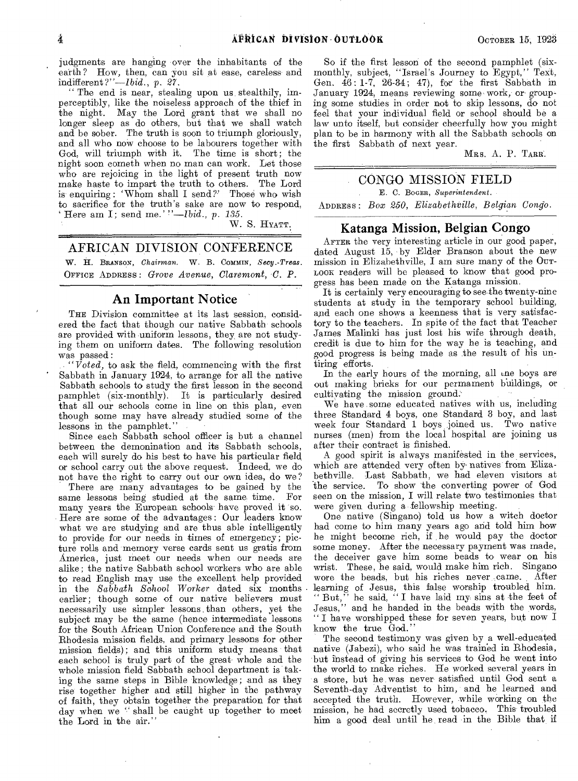judgments are hanging over the inhabitants of the earth ? How, then, can you sit at ease, careless and indifferent *?"—Ibid.,* p. *27.* 

" The end is near, stealing upon us stealthily, imperceptibly, like the noiseless approach of the thief in the night. May the Lord grant that we shall no longer sleep as do others, but that we shall watch and be sober. The truth is soon to triumph gloriously, and all who now choose to be labourers together with God, will triumph with it. The time is short; the night soon cometh when no man can work. Let those who are rejoicing in the light of present truth now make haste to impart the truth to others. The Lord is enquiring: 'Whom shall I send?' Those who wish to sacrifice for the truth's sake are now to respond, Here am I; send me.' *''—Ibid., p. 135.* 

*W.* S. HYATT.

### AFRICAN DIVISION CONFERENCE

W. H. BRANSON, *Chairman.* W. B. Commix, *Secy.-Treas.*  OFFICE ADDRESS : *Grove Avenue, Claremont, C. P.* 

#### An Important Notice

THE Division committee at its last session, considered the fact that though our native Sabbath schools are provided with uniform lessons, they, are not studying them on uniform dates. The following resolution was passed :

*"Voted,* to ask the field, commencing with the first Sabbath in January 1924, to arrange for all the native Sabbath schools to study the first lesson in the second pamphlet (six-monthly). It is particularly desired that all our schools come in line on this plan, even though some may have already studied some of the lessons in the pamphlet."

Since each Sabbath school officer is but a channel between the demonination and its Sabbath schools, each will surely do his best to have his particular field or school carry out the above request. Indeed, we do not have the right to carry out our own idea, do we?

There are many advantages to be gained by the me lessons being studied at the same time. For same lessons being studied at the same time. many years the European schools have proved it 'so. Here are some of the advantages : Our leaders know what we are studying and are thus able intelligently to provide for our needs in times of emergency; picture rolls and memory verse cards sent us gratis from America, just meet our needs when our needs are alike; the native Sabbath school workers who are able to read English may use the excellent help provided in the *Sabbath School Worker* dated six months earlier; though some of our native believers must necessarily use simpler lessons.than others, yet the subject may be the same (hence intermediate lessons for the South African Union Conference and the South Rhodesia mission fields, and primary lessons for other mission fields); and this uniform study means that each school is truly part of the great- whole and the whole mission field Sabbath school department is taking the same steps in Bible knowledge; and as they rise together higher and still higher in the pathway of faith, they obtain together the preparation for that day when we " shall be caught up together to meet the Lord in the air."

So if the first lesson of the second pamphlet (sixmonthly, subject, "Israel's Journey to Egypt," Text, Gen. 46: 1-7, 26-34; 47), for the first Sabbath in January 1924, means reviewing some work, or grouping some studies in order not to skip lessons, do not feel that your individual field or school should be a law unto itself, but consider cheerfully how you might plan to be in harmony with all the Sabbath schools on

MRS. A. P. TARR.

## CONGO MISSION FIELD

E. C. BOGER, *Superintendent.* 

the first Sabbath of next year.

ADDRESS : *Box 250, Elizabethville, Belgian Congo.* 

#### Katanga Mission, Belgian Congo

AFTER the very interesting article in our good paper, dated August 15, by Elder Branson about the new mission in Elizahethville, I am sure many of the OUT-LOOK readers will be pleased to know that good progress has been made on the Katanga mission.

It is certainly very encouraging to see the twenty-nine students at study in the temporary school building, and each one shows a keenness that is very satisfactory to the teachers. In spite of the fact that Teacher James Malinki has just lost his wife through death, credit is due to him for the way he is teaching, and good progress is being made as the result of his untiring efforts.

In the early hours of the morning, all une boys are out making bricks for our permament buildings, or cultivating the mission ground.

We have some educated natives with us, including three Standard 4 boys, one Standard 3 boy, and last week four Standard 1 boys joined us. Two native nurses (men) from the local hospital are joining us after their contract is finished.

A good spirit is always manifested in the services, which are attended very often by natives from Elizabethville. Last Sabbath, we had eleven visitors at the service. To show the converting power of God seen on the mission, I will relate two testimonies that were given during a fellowship meeting.

One native (Singano) told us how a witch doctor had come to him many years ago and told him how he might become rich, if he would pay the doctor some money. After the necessary payment was made, the deceiver gave him some beads to wear on his wrist. These, he said, would make him rich. Singano<br>wore the beads, but his riches never came. After wore the beads, but his riches never came. learning of Jesus, this false worship troubled him. "But," he said, "I have laid my sins at the feet of "But," he said, "I have laid my sins at the feet of Jesus," and he handed in the beads with the words, " I have worshipped these for seven years, but now I know the true God."

The second testimony was given by a well-educated native (Jabezi), who said he was trained in Rhodesia, but instead of giving his services to God he went into the world to make riches. He worked several years in a store, but he was never satisfied until God sent a Seventh-day Adventist to him, and he learned and accepted the truth. However, while working on the mission, he had secretly used tobacco. This troubled him a good deal until he read in the Bible that if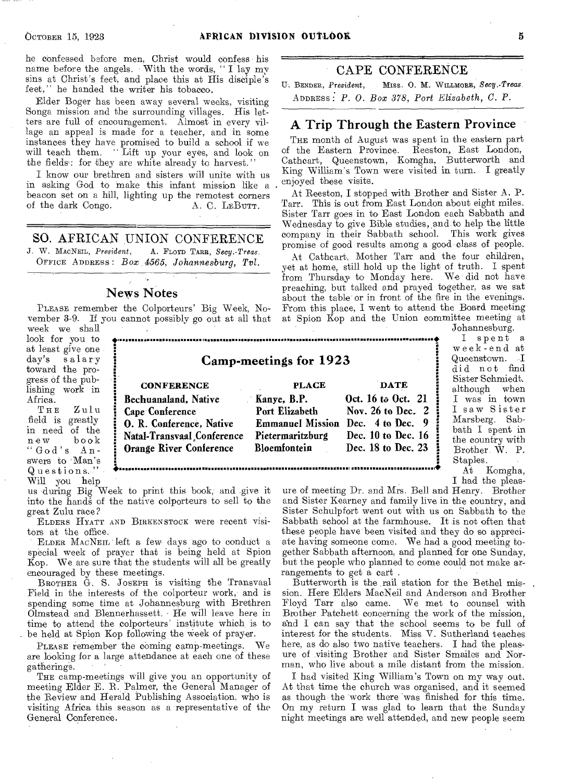he confessed before men, Christ would confess his name before the angels. With the words, " I lay my sins at Christ's feet, and place this at His disciple's feet," he handed the writer his tobacco.

Elder Boger has been away several weeks, visiting Songa mission and the surrounding villages. His letters are full of encouragement. Almost in every village an appeal is made for a teacher, and in some instances they have promised to build a school if we will teach them. "Lift up your eyes, and look on the fields: for they are white already to harvest."

I know our brethren and sisters will unite with us in asking God to make this infant mission like a beacon set on a hill, lighting up the remotest corners of the dark Congo. A. C. LEBUTT.

SO. AFRICAN UNION CONFERENCE<br>J. W. MacNEIL, President, A. FLOYD TARR, Secu.-Treas. A. FLOYD TARR, Secy.-Treas. OFFICE ADDRESS : *Box 4565, Johannesburg, Tvl.* 

#### News Notes

PLEASE remember the Colporteurs' Big Week, November 3-9. If you cannot possibly go out at all that week we shall

look for you to at least give one day's salary toward the progress of the publishing work in  $A$ frica.<br>T H E

 $Z$ ulu field is greatly in need of the book "God's Answers to 'Man's Questions.-" • Will you help



us during Big Week to print this book, and give it into the hands of the native colporteurs to sell to the Great Zulu race?

ELDERS HYATT AND BIRKENSTOCK were recent visitors at the office.

ELDER MACNEIL left a few days ago to conduct a special week of prayer that is being held at Spion Kop. We are sure that the students will all be greatly encouraged by these meetings.

BROTHER G. S. JOSEPH is visiting the Transvaal Field in the interests of the colporteur work, and is spending some time at Johannesburg with Brethren Olmstead and Blennerhassett. - He will leave here in time to attend the colporteurs' institute which is to be held at Spion Kop following the Week of prayer.

PLEASE remember the coming camp-meetings. We are looking for a large attendance at each one of these gatherings. '

THE camp-meetings will give you an opportunity of meeting Elder E. R. Palmer, the General Manager of the Review and Herald Publishing Association, who is visiting Africa this season as a representative of the General Conference.

## CAPE CONFERENCE

U. BENDER, *President,* Miss. 0. M. WILLMORE, *Secy.-Treas.*  ADDRESS . *P. 0. Box 378, Port Elizabeth, C. P.* 

#### A, Trip Through the Eastern Province

THE month of August was spent in the eastern part of the Eastern Province. Reeston, East London, Cathcart, Queenstown, Komgha, Butterworth and King William's Town were visited in turn. I greatly enjoyed these visits.

At Reeston, I stopped with Brother and Sister A. P. Tarr. This is out from East London about eight miles. Sister Tarr goes in to East London each Sabbath and Wednesday to give Bible studies, and to help the little company in their Sabbath school. This work gives promise of good results among a good class of people.

At Cathcart, Mother Tarr and the four children, yet at home, still hold up the light of truth. I spent from Thursday' to Monday here. We did not have preaching, but talked and prayed together, as we sat about the table or in front of the fire in the evenings. From this place, I went to attend the Board meeting at Spion Kop and the Union committee meeting at

Johannesburg. • I spent a week-end at Queenstown. I did not find Sister Schmiedt. although when I was in town I saw Sister Marsberg. Sabbath I spent in the country with Brother W. P.

 $\begin{array}{c} \mbox{Staples.} \\ \mbox{At} \end{array}$ I had the pleas-Komgha,

ure of meeting Dr. and Mrs. Bell and Henry. Brother and Sister Kearney and family live in the country, and Sister Schulpfort went out with us on Sabbath to the Sabbath school at the farmhouse. It is not often that these people have been visited and they do so appreciate having someone come. We had a good meeting together Sabbath afternoon, and planned for one Sunday, but the people who planned to come could not make arrangements to get a cart .

Butterworth is the rail station for the Bethel mission. Here Elders MacNeil and Anderson and Brother Floyd Tarr also came. We met to counsel with Brother Patchett concerning the work of the mission, and I can say that the school seems to be full of interest for the students. Miss V. Sutherland teaches here, as do also two native teachers. I had the pleasure of visiting Brother and Sister Smailes and Norman, who live about a mile distant from the mission.

I had visited King William's Town on my way out. At that time the church was organised, and it seemed as though the 'work there was finished for this time. On my return I was glad to learn that the Sunday night meetings are well attended, and new people seem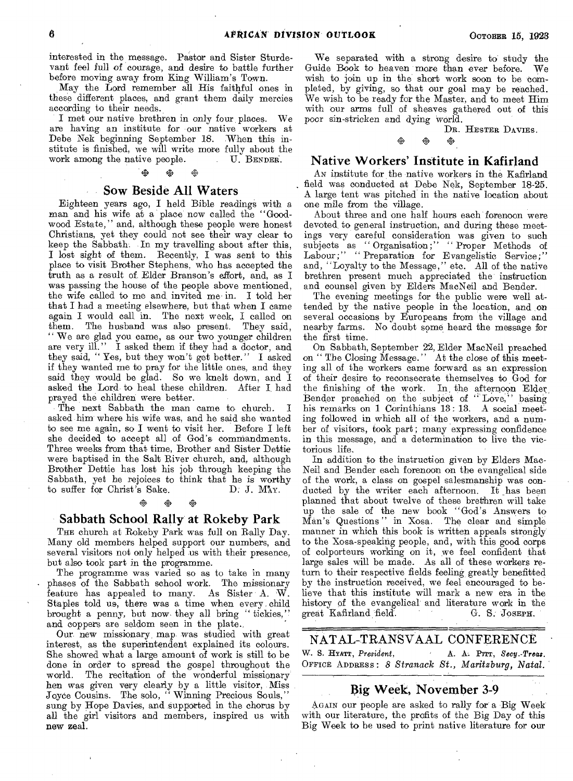interested in the message. Pastor and Sister Sturdevant feel full of courage, and desire to battle further before moving away from King William's Town.

May the Lord remember all His faithful ones in these different places, and grant them daily mercies according to their needs.

I met our native brethren in only four places. We are having an institute for our native workers at Debe Nek beginning September 18. When this institute is finished, we will write more fully about the work among the native people. U. BENDER. work among the native people.

#### ※ ※

#### **Sow Beside All Waters**

Eighteen years ago, I held Bible readings with a man and his wife at a place' now called the "Goodwood Estate," and, although these people were honest Christians, yet they could not see their way clear to keep the Sabbath. In my travelling about after this, I lost sight of them. Recently, I was sent to this place to visit Brother Stephens, who has accepted the truth as a result of, Elder Branson's effort, and, as I was passing the house of the people above mentioned, the wife called to me and invited me• in. I told her that I had a meeting elsewhere, but that when I came again I would call in. The next week, I called on them. The husband was also present. They said, The husband was also present. " We are glad you came, as our two younger children are very ill." I asked them if they had a doctor, and they said, " Yes, but they won't get better." I asked if they wanted me to pray for the little ones, and they said they would be glad. So we knelt down, and I asked the Lord to heal these children. After I had prayed the children were better.

The next Sabbath the man came to church. I asked him where his wife was, and he said she wanted to see me again, so I went to visit her. Before I left she decided to accept all of God's commandments. Three weeks from that time, Brother and Sister Dettie were baptised in the Salt River church, and, although Brother Dettie has lost his job through keeping the Sabbath, yet he rejoices to think that he is worthy to suffer for Christ's Sake. D. J. Max. to suffer for Christ's Sake. D. J. May.<br>  $\frac{1}{2}$   $\frac{1}{2}$   $\frac{1}{2}$   $\frac{1}{2}$   $\frac{1}{2}$ 

#### **Sabbath School**. **Rally at Rokeby Park**

THE church at Rokeby Park was full on Rally Day. Many old members helped support our numbers, and several visitors not only helped us with their presence, but also took part in the programme.

The programme was varied so as to take in many phases of the Sabbath school work. The missionary feature has appealed to many. As Sister A. *W.*  Staples told us, there was a time when every child brought a penny, but now they all bring " tickies," and coppers are seldom seen in the plate.

Our new missionary map was studied with great interest, as the superintendent explained its colours. She showed what a large amount of work is still to be done in order to spread the gospel throughout the world. The recitation of the wonderful missionary hen was given very clearly by a little visitor, Miss Joyce Cousins. The solo, "Winning Precious Souls," sung by Hope Davies, and supported in the chorus by all the girl visitors and members, inspired us with new zeal.

We separated with a strong desire to study the Guide Book to heaven 'more than ever before. We wish to join up in the short work soon to be completed, by giving, so that our goal may be reached. We wish to be ready for the Master, and to meet Him with our arms full of sheaves gathered out of this poor sin-stricken and dying world.

DR. HESTER DAVIES.

#### opa ova ita

#### **Native Workers' Institute in Kafirland**

AN institute for the native workers in the Kafirland field was conducted at Debe Nek, September 18-25. A large tent was pitched in the native location about one mile from the village.

About three and one half hours each forenoon were devoted to general instruction, and during these meetings very careful consideration was given to such subjects as "Organisation;" "Proper Methods of Labour;" " Preparation for Evangelistic Service;" and, "Loyalty to the Message," etc. All of the native brethren present much appreciated the' instruction and counsel given by Elders MacNeil and Bender.

The evening meetings for the public were well attended by the native people in the location, and on several occasions by Europeans from the village and nearby farms. No doubt some heard the message for the first time.

On Sabbath, September 22, Elder MacNeil preached on " The Closing Message." At the close of this meeting all of the workers came forward as an expression of their desire to reconsecrate themselves to God for In the afternoon Elder, Bender preached on the subject of "Love," basing his remarks on 1 Corinthians 13:13. A social meeting followed in which all of the workers, and a number of visitors, took part; many expressing confidence in this message, and a determination to live the victorious life.

In addition to the instruction given by Elders Mac-Neil and Bender each forenoon on the evangelical side of the work, a class on gospel salesmanship was conducted by the writer each afternoon. It has been planned that about twelve of these brethren will take up the sale of the new book "God's Answers to Man's Questions " in Xosa. The clear and simple manner in which this book is written appeals strongly to the Xosa-speaking people, and, with this good corps of colporteurs working on it, we feel confident that large sales will be made. As all of these workers return to their respective fields feeling greatly benefitted by the instruction received, we feel encouraged to believe that this institute will mark a new era in the history of the evangelical and literature work in the great Kafirland field. G. S. JOSEPH. great Kafirland field.

#### NATAL-TRANSVAAL CONFERENCE

W. S. HYATT, *President*, **A. A. PITT**, *Secy.-Treas.* OFFICE ADDRESS : *8* Stranack St., Maritzburg, Natal,

## **Big Week, November 3-9**

AGAIN our people are asked to rally for a Big Week' with our literature, the profits of the Big Day of this Big Week to be used to print native literature for our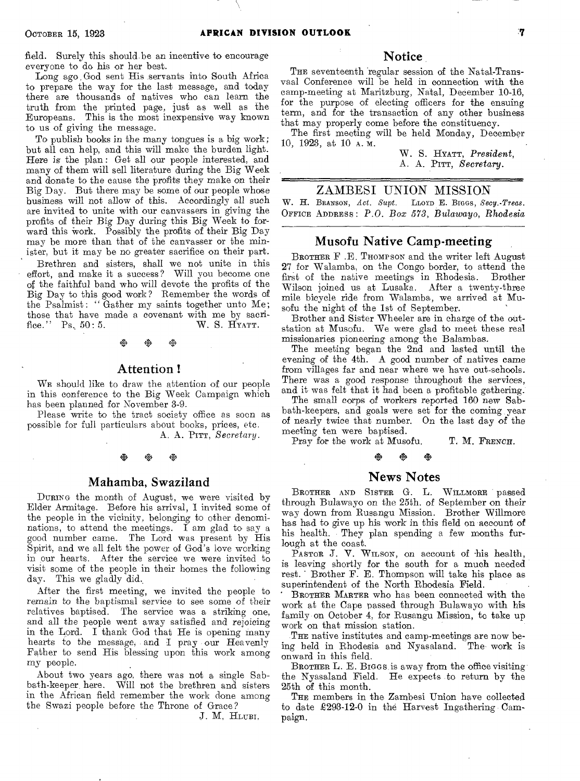field. Surely this should be an incentive to encourage everyone to do his or her best.

Long ago God sent His servants into South Africa to prepare the way for the last message, and today there are thousands of natives who can learn the truth from the printed page, just as well as the Europeans. This is the most inexpensive way known to us of giving the message.

To publish books in the many tongues is a big work; but all can help, and this will make the burden light. Here is the plan: Get all our people interested, and many of them will sell literature during the Big Week and donate to the cause the profits they make on their Big Day. But there may be some of our people whose business will not allow of this. Accordingly all such are invited to unite with our canvassers in giving the profits of their Big Day during this Big Week to forward this work. Possibly the profits of their Big Day may be more than that of the canvasser or the minister, but it may be no greater sacrifice on their part.

Brethren and sisters, shall we not unite in this effort, and make it a success? Will you become one of the faithful band who will devote the profits of the Big Day to this good work? Remember the words of the Psalmist: "Gather my saints together unto Me; those that have made a covenant with me by sacrifice."  $\rm{Ps. 50:5.} \quad W. S. HxATT.$ fice." Ps.  $50:5$ .

※ ※

#### Attention !

WE should like to draw the attention of our people in this conference to the Big Week Campaign which has been planned for November 3-9.

Please write to the tract society office as soon as possible for full particulars about books, prices, etc. A. A. PITT, *Secretary.* 

# **※ ※ ※**

#### Mahamba, Swaziland

DURING the month of August, we were visited by Elder Armitage. Before his arrival, I invited some of the people in the vicinity, belonging to other denominations, to attend the meetings. I am glad to say a good number came. The Lord was present by His Spirit, and we all felt the power of God's love working in our hearts. After the service we were invited to visit some of the people in their homes the following day. This we gladly did..

After the first meeting, we invited the people to remain to the baptismal service to see some of their relatives baptised. The service was a striking one, and all the people went away satisfied and rejoicing in the Lord. I thank God that He is opening many hearts to the message, and I pray our Heavenly Father to send His blessing upon this work among my people.

About two years ago, there was not a single Sabbath-keeper. here. Will not the brethren and sisters in the African field remember the work done among the Swazi people before the Throne of Grace?

J. M. HLUBI.

#### Notice

THE seventeenth regular session of the Natal-Transvaal Conference will be held in connection with the camp-meeting at Maritzburg, Natal, December 10-16, for the purpose of electing officers for the ensuing term, and for the transaction of any other business that may properly come before the constituency.

The first meeting will be held Monday, December 10, 1923, at 10 A. M.

> W. S. HYATT, *President,*  A. A. PITT, *Secretary.*

#### ZAMBESI UNION MISSION

W. H. BRANSON, *Act. Supt.* LLOYD E. BIGGS, *Secy.-Treas.*  OFFICE ADDRESS : *P.O. Box 573, Bulawayo, Rhodesia* 

#### Musofu Native Camp-meeting

BROTHER F .E. THOMPSON and the writer left August 27 for Walamba, on the Congo border, to attend the first of the native meetings in Rhodesia. Brother first of the native meetings in Rhodesia. Wilson joined us at Lusaka. After a twenty-three mile bicycle ride from Walamba, we arrived at Musofu the night of the 1st of September.

Brother and Sister Wheeler are in charge of the outstation at Musofu. We were glad to meet these real missionaries pioneering among the Balambas.

The meeting began the 2nd and lasted until the evening of the 4th. A good number of natives came from villages far and near where we have out-schools. There was a good response throughout the services, and it was felt that it had been a profitable gathering.

The small corps of workers reported 160 new Sabbath-keepers, and goals were set for the coming year of nearly twice that number. On the last day of the meeting ten were baptised.

Pray for the work at Musofu. T. M. FRENCH.

# **※ ※ ※**

#### News Notes

BROTHER AND SISTER G. L. WILLMORE passed through Bulawayo on the 25th. of September on their way down from Rusangu Mission. Brother Willmore has had to give up his work in this field on account of his health. They plan spending a few months furlough at the coast.

PASTOR J. V. WILSON, on account of his health, is leaving shortly for the south for a much needed rest. Brother F. E. Thompson will take his place as superintendent of the North Rhodesia Field.

BROTHER MARTER who has been connected with the work at the Cape passed through Bulawayo with his family on October 4, for Rusangu Mission, to take up work on that mission station.

THE native institutes and camp-meetings are now being held in Rhodesia and Nyasaland. The work is onward in this field.

BROTHER L. E. BIGGS is away from the office visiting the Nyasaland Field. He expects to return by the 25th of this month.

THE members in the Zambesi Union have collected to date £293-12-0 in the Harvest Ingathering Campaign.